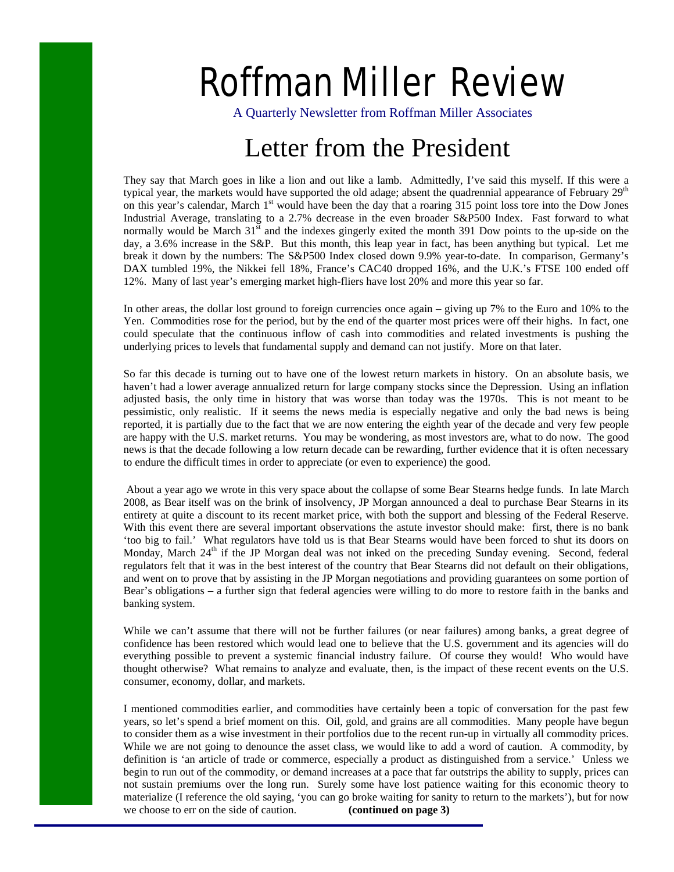# Roffman Miller Review

A Quarterly Newsletter from Roffman Miller Associates

# Letter from the President

They say that March goes in like a lion and out like a lamb. Admittedly, I've said this myself. If this were a typical year, the markets would have supported the old adage; absent the quadrennial appearance of February  $29<sup>th</sup>$ on this year's calendar, March 1<sup>st</sup> would have been the day that a roaring 315 point loss tore into the Dow Jones Industrial Average, translating to a 2.7% decrease in the even broader S&P500 Index. Fast forward to what normally would be March  $31^{\text{st}}$  and the indexes gingerly exited the month 391 Dow points to the up-side on the day, a 3.6% increase in the S&P. But this month, this leap year in fact, has been anything but typical. Let me break it down by the numbers: The S&P500 Index closed down 9.9% year-to-date. In comparison, Germany's DAX tumbled 19%, the Nikkei fell 18%, France's CAC40 dropped 16%, and the U.K.'s FTSE 100 ended off 12%. Many of last year's emerging market high-fliers have lost 20% and more this year so far.

In other areas, the dollar lost ground to foreign currencies once again – giving up 7% to the Euro and 10% to the Yen. Commodities rose for the period, but by the end of the quarter most prices were off their highs. In fact, one could speculate that the continuous inflow of cash into commodities and related investments is pushing the underlying prices to levels that fundamental supply and demand can not justify. More on that later.

So far this decade is turning out to have one of the lowest return markets in history. On an absolute basis, we haven't had a lower average annualized return for large company stocks since the Depression. Using an inflation adjusted basis, the only time in history that was worse than today was the 1970s. This is not meant to be pessimistic, only realistic. If it seems the news media is especially negative and only the bad news is being reported, it is partially due to the fact that we are now entering the eighth year of the decade and very few people are happy with the U.S. market returns. You may be wondering, as most investors are, what to do now. The good news is that the decade following a low return decade can be rewarding, further evidence that it is often necessary to endure the difficult times in order to appreciate (or even to experience) the good.

 About a year ago we wrote in this very space about the collapse of some Bear Stearns hedge funds. In late March 2008, as Bear itself was on the brink of insolvency, JP Morgan announced a deal to purchase Bear Stearns in its entirety at quite a discount to its recent market price, with both the support and blessing of the Federal Reserve. With this event there are several important observations the astute investor should make: first, there is no bank 'too big to fail.' What regulators have told us is that Bear Stearns would have been forced to shut its doors on Monday, March  $24<sup>th</sup>$  if the JP Morgan deal was not inked on the preceding Sunday evening. Second, federal regulators felt that it was in the best interest of the country that Bear Stearns did not default on their obligations, and went on to prove that by assisting in the JP Morgan negotiations and providing guarantees on some portion of Bear's obligations – a further sign that federal agencies were willing to do more to restore faith in the banks and banking system.

While we can't assume that there will not be further failures (or near failures) among banks, a great degree of confidence has been restored which would lead one to believe that the U.S. government and its agencies will do everything possible to prevent a systemic financial industry failure. Of course they would! Who would have thought otherwise? What remains to analyze and evaluate, then, is the impact of these recent events on the U.S. consumer, economy, dollar, and markets.

I mentioned commodities earlier, and commodities have certainly been a topic of conversation for the past few years, so let's spend a brief moment on this. Oil, gold, and grains are all commodities. Many people have begun to consider them as a wise investment in their portfolios due to the recent run-up in virtually all commodity prices. While we are not going to denounce the asset class, we would like to add a word of caution. A commodity, by definition is 'an article of trade or commerce, especially a product as distinguished from a service.' Unless we begin to run out of the commodity, or demand increases at a pace that far outstrips the ability to supply, prices can not sustain premiums over the long run. Surely some have lost patience waiting for this economic theory to materialize (I reference the old saying, 'you can go broke waiting for sanity to return to the markets'), but for now we choose to err on the side of caution. **(continued on page 3)**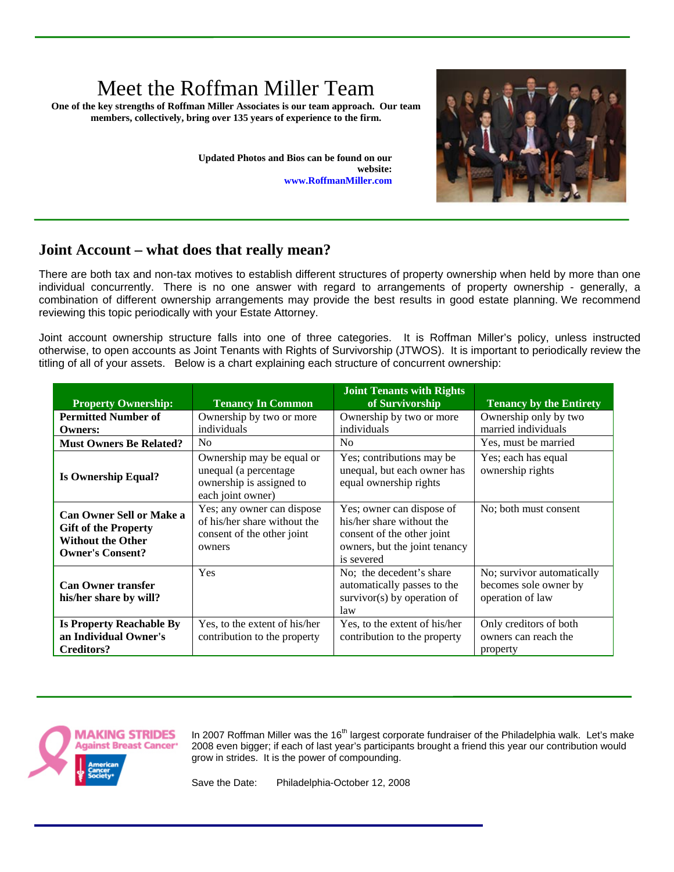## Meet the Roffman Miller Team

**One of the key strengths of Roffman Miller Associates is our team approach. Our team members, collectively, bring over 135 years of experience to the firm.** 

> **Updated Photos and Bios can be found on our website: www.RoffmanMiller.com**



### **Joint Account – what does that really mean?**

There are both tax and non-tax motives to establish different structures of property ownership when held by more than one individual concurrently. There is no one answer with regard to arrangements of property ownership - generally, a combination of different ownership arrangements may provide the best results in good estate planning. We recommend reviewing this topic periodically with your Estate Attorney.

Joint account ownership structure falls into one of three categories. It is Roffman Miller's policy, unless instructed otherwise, to open accounts as Joint Tenants with Rights of Survivorship (JTWOS). It is important to periodically review the titling of all of your assets. Below is a chart explaining each structure of concurrent ownership:

| <b>Property Ownership:</b>                                                                                            | <b>Tenancy In Common</b>                                                                            | <b>Joint Tenants with Rights</b><br>of Survivorship                                                                                 | <b>Tenancy by the Entirety</b>                                          |
|-----------------------------------------------------------------------------------------------------------------------|-----------------------------------------------------------------------------------------------------|-------------------------------------------------------------------------------------------------------------------------------------|-------------------------------------------------------------------------|
| <b>Permitted Number of</b><br><b>Owners:</b>                                                                          | Ownership by two or more<br>individuals                                                             | Ownership by two or more<br>individuals                                                                                             | Ownership only by two<br>married individuals                            |
| <b>Must Owners Be Related?</b>                                                                                        | N <sub>0</sub>                                                                                      | N <sub>0</sub>                                                                                                                      | Yes, must be married                                                    |
| <b>Is Ownership Equal?</b>                                                                                            | Ownership may be equal or<br>unequal (a percentage<br>ownership is assigned to<br>each joint owner) | Yes; contributions may be<br>unequal, but each owner has<br>equal ownership rights                                                  | Yes; each has equal<br>ownership rights                                 |
| <b>Can Owner Sell or Make a</b><br><b>Gift of the Property</b><br><b>Without the Other</b><br><b>Owner's Consent?</b> | Yes; any owner can dispose<br>of his/her share without the<br>consent of the other joint<br>owners  | Yes; owner can dispose of<br>his/her share without the<br>consent of the other joint<br>owners, but the joint tenancy<br>is severed | No; both must consent                                                   |
| <b>Can Owner transfer</b><br>his/her share by will?                                                                   | Yes                                                                                                 | No; the decedent's share<br>automatically passes to the<br>survivor $(s)$ by operation of<br>law                                    | No; survivor automatically<br>becomes sole owner by<br>operation of law |
| <b>Is Property Reachable By</b><br>an Individual Owner's<br><b>Creditors?</b>                                         | Yes, to the extent of his/her<br>contribution to the property                                       | Yes, to the extent of his/her<br>contribution to the property                                                                       | Only creditors of both<br>owners can reach the<br>property              |



In 2007 Roffman Miller was the 16<sup>th</sup> largest corporate fundraiser of the Philadelphia walk. Let's make 2008 even bigger; if each of last year's participants brought a friend this year our contribution would grow in strides. It is the power of compounding.

Save the Date: Philadelphia-October 12, 2008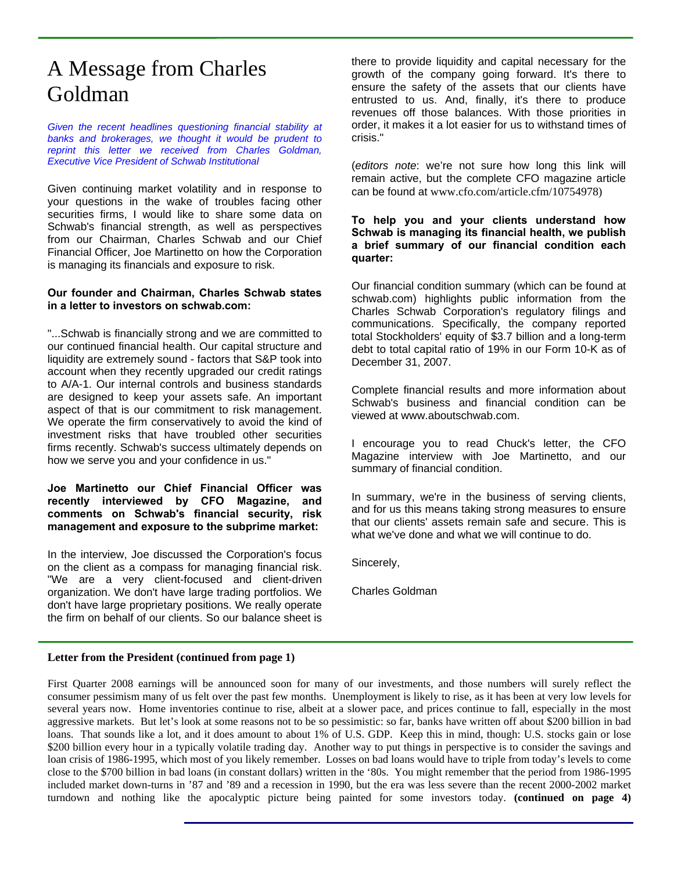### A Message from Charles Goldman

*Given the recent headlines questioning financial stability at banks and brokerages, we thought it would be prudent to reprint this letter we received from Charles Goldman, Executive Vice President of Schwab Institutional* 

Given continuing market volatility and in response to your questions in the wake of troubles facing other securities firms, I would like to share some data on Schwab's financial strength, as well as perspectives from our Chairman, Charles Schwab and our Chief Financial Officer, Joe Martinetto on how the Corporation is managing its financials and exposure to risk.

#### **Our founder and Chairman, Charles Schwab states in a letter to investors on schwab.com:**

"...Schwab is financially strong and we are committed to our continued financial health. Our capital structure and liquidity are extremely sound - factors that S&P took into account when they recently upgraded our credit ratings to A/A-1. Our internal controls and business standards are designed to keep your assets safe. An important aspect of that is our commitment to risk management. We operate the firm conservatively to avoid the kind of investment risks that have troubled other securities firms recently. Schwab's success ultimately depends on how we serve you and your confidence in us."

#### **Joe Martinetto our Chief Financial Officer was recently interviewed by CFO Magazine, and comments on Schwab's financial security, risk management and exposure to the subprime market:**

In the interview, Joe discussed the Corporation's focus on the client as a compass for managing financial risk. "We are a very client-focused and client-driven organization. We don't have large trading portfolios. We don't have large proprietary positions. We really operate the firm on behalf of our clients. So our balance sheet is there to provide liquidity and capital necessary for the growth of the company going forward. It's there to ensure the safety of the assets that our clients have entrusted to us. And, finally, it's there to produce revenues off those balances. With those priorities in order, it makes it a lot easier for us to withstand times of crisis."

(*editors note*: we're not sure how long this link will remain active, but the complete CFO magazine article can be found at www.cfo.com/article.cfm/10754978)

**To help you and your clients understand how Schwab is managing its financial health, we publish a brief summary of our financial condition each quarter:** 

Our financial condition summary (which can be found at schwab.com) highlights public information from the Charles Schwab Corporation's regulatory filings and communications. Specifically, the company reported total Stockholders' equity of \$3.7 billion and a long-term debt to total capital ratio of 19% in our Form 10-K as of December 31, 2007.

Complete financial results and more information about Schwab's business and financial condition can be viewed at www.aboutschwab.com.

I encourage you to read Chuck's letter, the CFO Magazine interview with Joe Martinetto, and our summary of financial condition.

In summary, we're in the business of serving clients, and for us this means taking strong measures to ensure that our clients' assets remain safe and secure. This is what we've done and what we will continue to do.

Sincerely,

Charles Goldman

#### **Letter from the President (continued from page 1)**

First Quarter 2008 earnings will be announced soon for many of our investments, and those numbers will surely reflect the consumer pessimism many of us felt over the past few months. Unemployment is likely to rise, as it has been at very low levels for several years now. Home inventories continue to rise, albeit at a slower pace, and prices continue to fall, especially in the most aggressive markets. But let's look at some reasons not to be so pessimistic: so far, banks have written off about \$200 billion in bad loans. That sounds like a lot, and it does amount to about 1% of U.S. GDP. Keep this in mind, though: U.S. stocks gain or lose \$200 billion every hour in a typically volatile trading day. Another way to put things in perspective is to consider the savings and loan crisis of 1986-1995, which most of you likely remember. Losses on bad loans would have to triple from today's levels to come close to the \$700 billion in bad loans (in constant dollars) written in the '80s. You might remember that the period from 1986-1995 included market down-turns in '87 and '89 and a recession in 1990, but the era was less severe than the recent 2000-2002 market turndown and nothing like the apocalyptic picture being painted for some investors today. **(continued on page 4)**